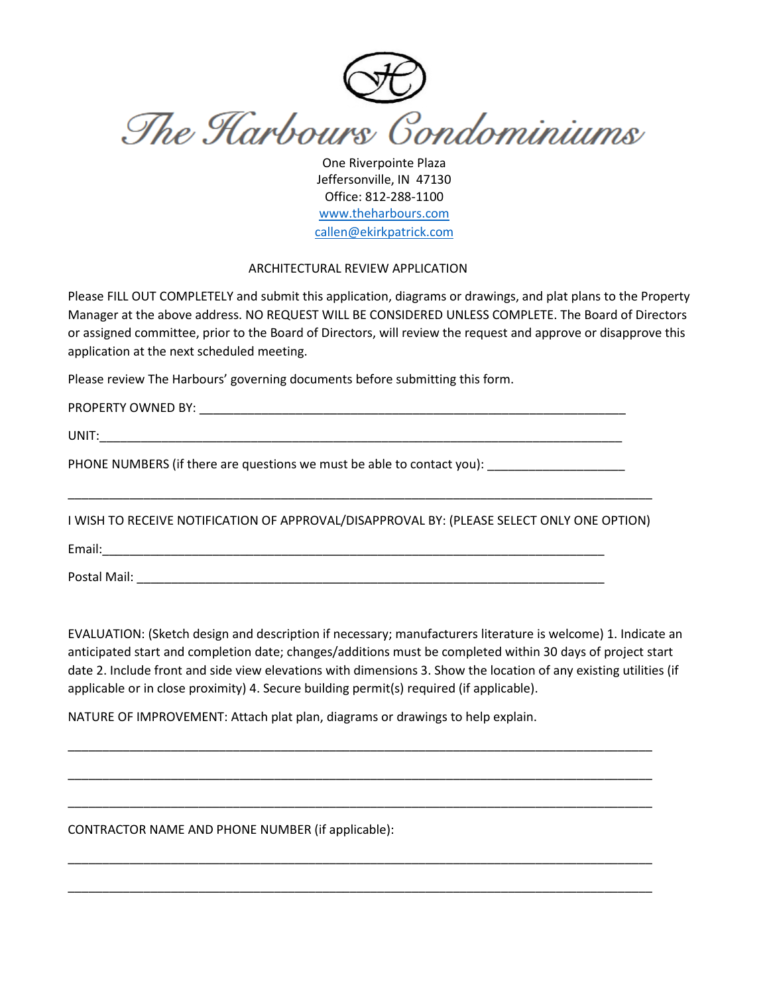

One Riverpointe Plaza Jeffersonville, IN 47130 Office: 812-288-1100 [www.theharbours.com](http://www.theharbours.com/) [callen@ekirkpatrick.com](mailto:callen@ekirkpatrick.com)

## ARCHITECTURAL REVIEW APPLICATION

Please FILL OUT COMPLETELY and submit this application, diagrams or drawings, and plat plans to the Property Manager at the above address. NO REQUEST WILL BE CONSIDERED UNLESS COMPLETE. The Board of Directors or assigned committee, prior to the Board of Directors, will review the request and approve or disapprove this application at the next scheduled meeting.

Please review The Harbours' governing documents before submitting this form.

PROPERTY OWNED BY: \_\_\_\_\_\_\_\_\_\_\_\_\_\_\_\_\_\_\_\_\_\_\_\_\_\_\_\_\_\_\_\_\_\_\_\_\_\_\_\_\_\_\_\_\_\_\_\_\_\_\_\_\_\_\_\_\_\_\_\_\_\_ UNIT: PHONE NUMBERS (if there are questions we must be able to contact you): \_\_\_\_\_\_\_\_\_\_\_\_\_\_\_\_\_\_\_\_\_\_\_\_\_\_\_\_\_\_\_\_\_\_\_\_\_\_\_\_\_\_\_\_\_\_\_\_\_\_\_\_\_\_\_\_\_\_\_\_\_\_\_\_\_\_\_\_\_\_\_\_\_\_\_\_\_\_\_\_\_\_\_\_\_

I WISH TO RECEIVE NOTIFICATION OF APPROVAL/DISAPPROVAL BY: (PLEASE SELECT ONLY ONE OPTION)

Email:\_\_\_\_\_\_\_\_\_\_\_\_\_\_\_\_\_\_\_\_\_\_\_\_\_\_\_\_\_\_\_\_\_\_\_\_\_\_\_\_\_\_\_\_\_\_\_\_\_\_\_\_\_\_\_\_\_\_\_\_\_\_\_\_\_\_\_\_\_\_\_\_\_

Postal Mail: with the set of the set of the set of the set of the set of the set of the set of the set of the set of the set of the set of the set of the set of the set of the set of the set of the set of the set of the se

EVALUATION: (Sketch design and description if necessary; manufacturers literature is welcome) 1. Indicate an anticipated start and completion date; changes/additions must be completed within 30 days of project start date 2. Include front and side view elevations with dimensions 3. Show the location of any existing utilities (if applicable or in close proximity) 4. Secure building permit(s) required (if applicable).

\_\_\_\_\_\_\_\_\_\_\_\_\_\_\_\_\_\_\_\_\_\_\_\_\_\_\_\_\_\_\_\_\_\_\_\_\_\_\_\_\_\_\_\_\_\_\_\_\_\_\_\_\_\_\_\_\_\_\_\_\_\_\_\_\_\_\_\_\_\_\_\_\_\_\_\_\_\_\_\_\_\_\_\_\_

\_\_\_\_\_\_\_\_\_\_\_\_\_\_\_\_\_\_\_\_\_\_\_\_\_\_\_\_\_\_\_\_\_\_\_\_\_\_\_\_\_\_\_\_\_\_\_\_\_\_\_\_\_\_\_\_\_\_\_\_\_\_\_\_\_\_\_\_\_\_\_\_\_\_\_\_\_\_\_\_\_\_\_\_\_

\_\_\_\_\_\_\_\_\_\_\_\_\_\_\_\_\_\_\_\_\_\_\_\_\_\_\_\_\_\_\_\_\_\_\_\_\_\_\_\_\_\_\_\_\_\_\_\_\_\_\_\_\_\_\_\_\_\_\_\_\_\_\_\_\_\_\_\_\_\_\_\_\_\_\_\_\_\_\_\_\_\_\_\_\_

\_\_\_\_\_\_\_\_\_\_\_\_\_\_\_\_\_\_\_\_\_\_\_\_\_\_\_\_\_\_\_\_\_\_\_\_\_\_\_\_\_\_\_\_\_\_\_\_\_\_\_\_\_\_\_\_\_\_\_\_\_\_\_\_\_\_\_\_\_\_\_\_\_\_\_\_\_\_\_\_\_\_\_\_\_

\_\_\_\_\_\_\_\_\_\_\_\_\_\_\_\_\_\_\_\_\_\_\_\_\_\_\_\_\_\_\_\_\_\_\_\_\_\_\_\_\_\_\_\_\_\_\_\_\_\_\_\_\_\_\_\_\_\_\_\_\_\_\_\_\_\_\_\_\_\_\_\_\_\_\_\_\_\_\_\_\_\_\_\_\_

NATURE OF IMPROVEMENT: Attach plat plan, diagrams or drawings to help explain.

CONTRACTOR NAME AND PHONE NUMBER (if applicable):